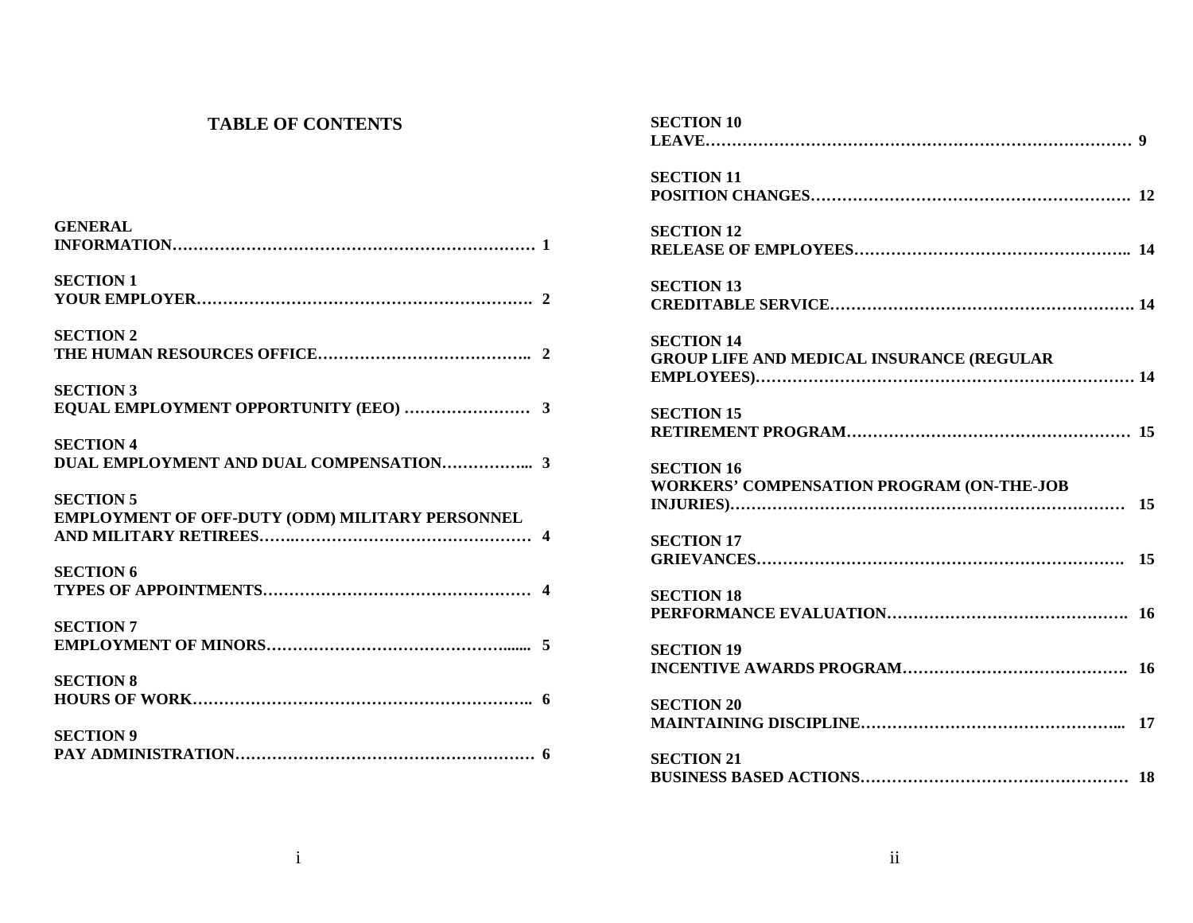#### **TABLE OF CONTENTS**

| <b>GENERAL</b>                                  |
|-------------------------------------------------|
|                                                 |
|                                                 |
| <b>SECTION 1</b>                                |
|                                                 |
| <b>SECTION 2</b>                                |
|                                                 |
|                                                 |
| <b>SECTION 3</b>                                |
|                                                 |
|                                                 |
| <b>SECTION 4</b>                                |
|                                                 |
|                                                 |
| <b>SECTION 5</b>                                |
| EMPLOYMENT OF OFF-DUTY (ODM) MILITARY PERSONNEL |
|                                                 |
| <b>SECTION 6</b>                                |
|                                                 |
|                                                 |
| <b>SECTION 7</b>                                |
|                                                 |
|                                                 |
| <b>SECTION 8</b>                                |
|                                                 |
|                                                 |
|                                                 |
| <b>SECTION 9</b>                                |
|                                                 |

| <b>SECTION 10</b>                                |  |
|--------------------------------------------------|--|
|                                                  |  |
| <b>SECTION 11</b>                                |  |
|                                                  |  |
| <b>SECTION 12</b>                                |  |
|                                                  |  |
| <b>SECTION 13</b>                                |  |
|                                                  |  |
| <b>SECTION 14</b>                                |  |
| <b>GROUP LIFE AND MEDICAL INSURANCE (REGULAR</b> |  |
|                                                  |  |
| <b>SECTION 15</b>                                |  |
|                                                  |  |
| <b>SECTION 16</b>                                |  |
| WORKERS' COMPENSATION PROGRAM (ON-THE-JOB        |  |
|                                                  |  |
| <b>SECTION 17</b>                                |  |
|                                                  |  |
| <b>SECTION 18</b>                                |  |
|                                                  |  |
| <b>SECTION 19</b>                                |  |
|                                                  |  |
| <b>SECTION 20</b>                                |  |
|                                                  |  |
| <b>SECTION 21</b>                                |  |
|                                                  |  |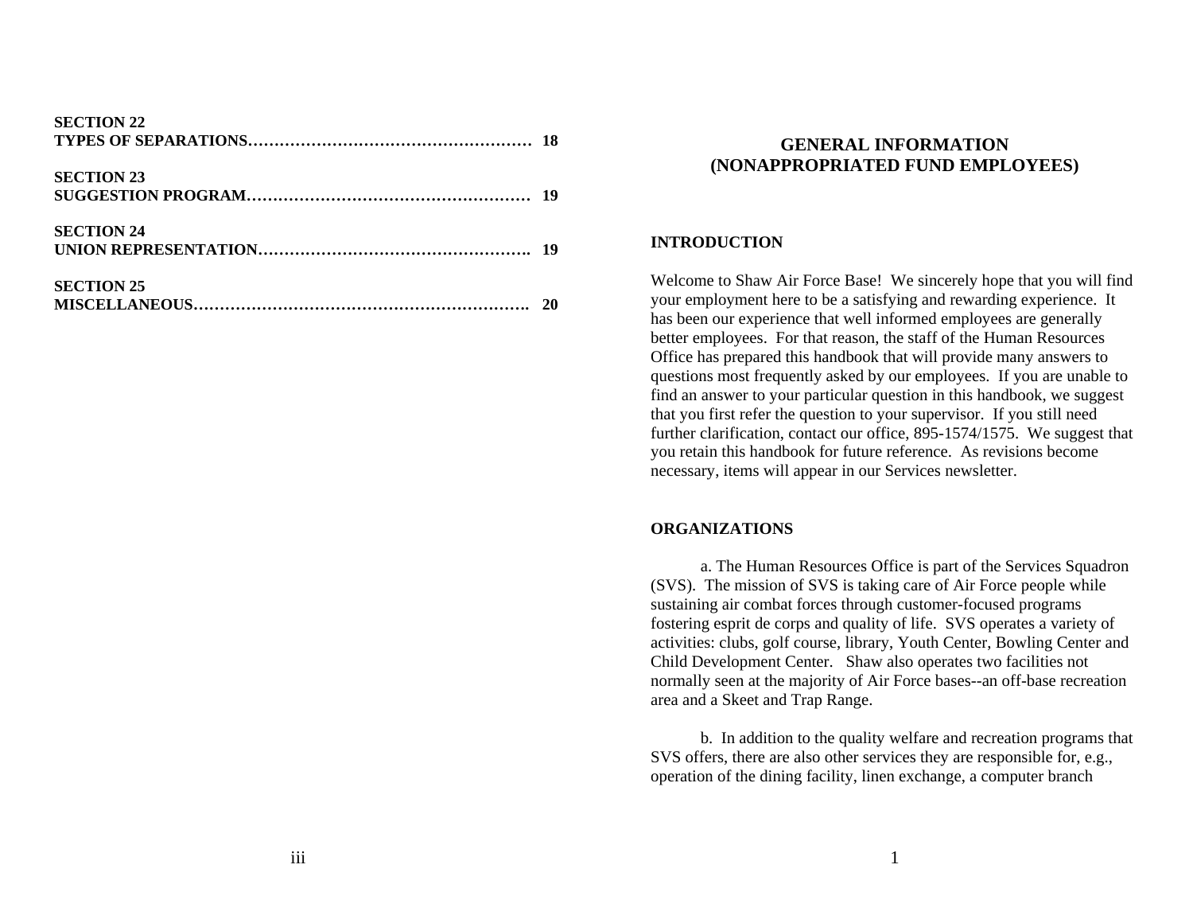| <b>SECTION 22</b> |  |
|-------------------|--|
| <b>SECTION 23</b> |  |
| <b>SECTION 24</b> |  |
| <b>SECTION 25</b> |  |

# **GENERAL INFORMATION (NONAPPROPRIATED FUND EMPLOYEES)**

#### **INTRODUCTION**

Welcome to Shaw Air Force Base! We sincerely hope that you will find your employment here to be a satisfying and rewarding experience. It has been our experience that well informed employees are generally better employees. For that reason, the staff of the Human Resources Office has prepared this handbook that will provide many answers to questions most frequently asked by our employees. If you are unable to find an answer to your particular question in this handbook, we suggest that you first refer the question to your supervisor. If you still need further clarification, contact our office, 895-1574/1575. We suggest that you retain this handbook for future reference. As revisions become necessary, items will appear in our Services newsletter.

#### **ORGANIZATIONS**

 a. The Human Resources Office is part of the Services Squadron (SVS). The mission of SVS is taking care of Air Force people while sustaining air combat forces through customer-focused programs fostering esprit de corps and quality of life. SVS operates a variety of activities: clubs, golf course, library, Youth Center, Bowling Center and Child Development Center. Shaw also operates two facilities not normally seen at the majority of Air Force bases--an off-base recreation area and a Skeet and Trap Range.

 b. In addition to the quality welfare and recreation programs that SVS offers, there are also other services they are responsible for, e.g., operation of the dining facility, linen exchange, a computer branch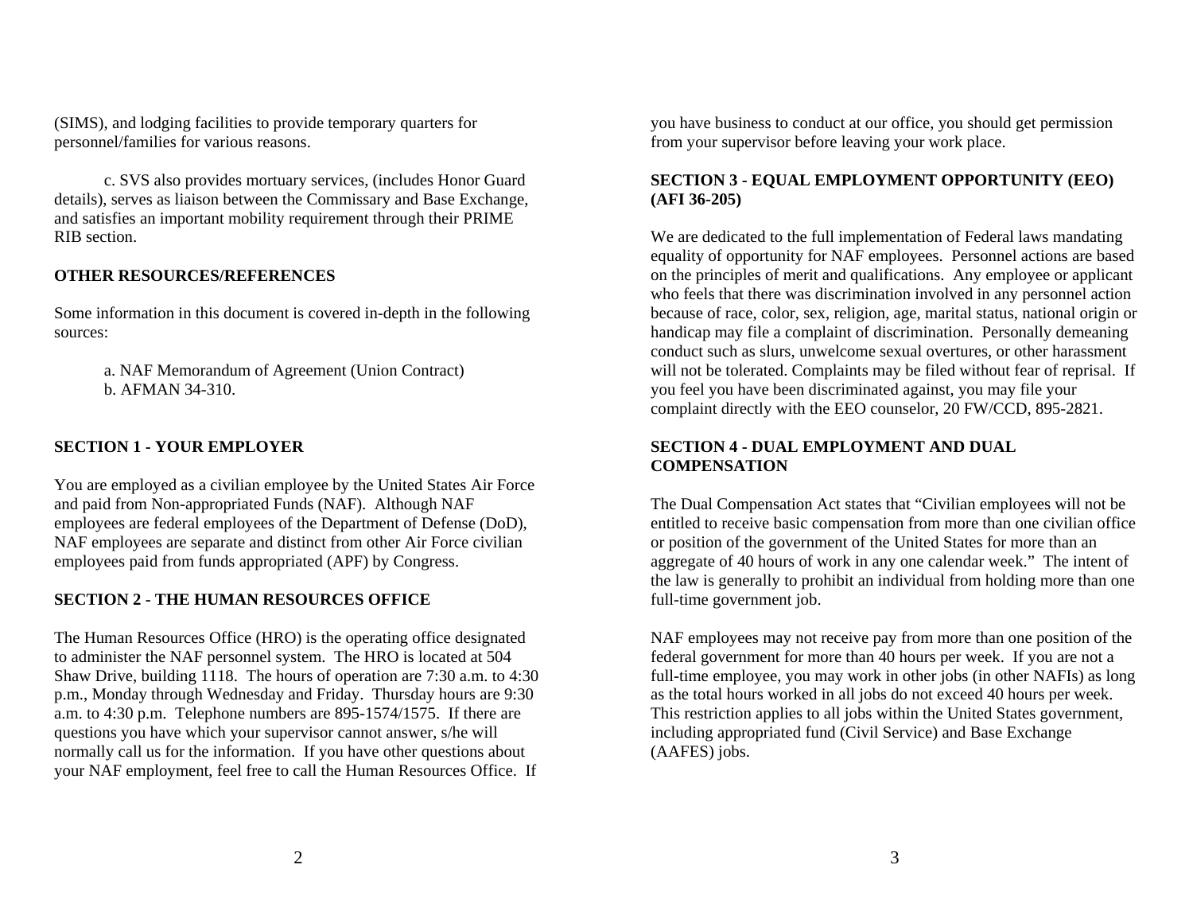(SIMS), and lodging facilities to provide temporary quarters for personnel/families for various reasons.

 c. SVS also provides mortuary services, (includes Honor Guard details), serves as liaison between the Commissary and Base Exchange, and satisfies an important mobility requirement through their PRIME RIB section.

### **OTHER RESOURCES/REFERENCES**

Some information in this document is covered in-depth in the following sources:

> a. NAF Memorandum of Agreement (Union Contract) b. AFMAN 34-310.

#### **SECTION 1 - YOUR EMPLOYER**

You are employed as a civilian employee by the United States Air Force and paid from Non-appropriated Funds (NAF). Although NAF employees are federal employees of the Department of Defense (DoD), NAF employees are separate and distinct from other Air Force civilian employees paid from funds appropriated (APF) by Congress.

#### **SECTION 2 - THE HUMAN RESOURCES OFFICE**

The Human Resources Office (HRO) is the operating office designated to administer the NAF personnel system. The HRO is located at 504 Shaw Drive, building 1118. The hours of operation are 7:30 a.m. to 4:30 p.m., Monday through Wednesday and Friday. Thursday hours are 9:30 a.m. to 4:30 p.m. Telephone numbers are 895-1574/1575. If there are questions you have which your supervisor cannot answer, s/he will normally call us for the information. If you have other questions about your NAF employment, feel free to call the Human Resources Office. If

you have business to conduct at our office, you should get permission from your supervisor before leaving your work place.

#### **SECTION 3 - EQUAL EMPLOYMENT OPPORTUNITY (EEO) (AFI 36-205)**

We are dedicated to the full implementation of Federal laws mandating equality of opportunity for NAF employees. Personnel actions are based on the principles of merit and qualifications. Any employee or applicant who feels that there was discrimination involved in any personnel action because of race, color, sex, religion, age, marital status, national origin or handicap may file a complaint of discrimination. Personally demeaning conduct such as slurs, unwelcome sexual overtures, or other harassment will not be tolerated. Complaints may be filed without fear of reprisal. If you feel you have been discriminated against, you may file your complaint directly with the EEO counselor, 20 FW/CCD, 895-2821.

## **SECTION 4 - DUAL EMPLOYMENT AND DUAL COMPENSATION**

The Dual Compensation Act states that "Civilian employees will not be entitled to receive basic compensation from more than one civilian office or position of the government of the United States for more than an aggregate of 40 hours of work in any one calendar week." The intent of the law is generally to prohibit an individual from holding more than one full-time government job.

NAF employees may not receive pay from more than one position of the federal government for more than 40 hours per week. If you are not a full-time employee, you may work in other jobs (in other NAFIs) as long as the total hours worked in all jobs do not exceed 40 hours per week. This restriction applies to all jobs within the United States government, including appropriated fund (Civil Service) and Base Exchange (AAFES) jobs.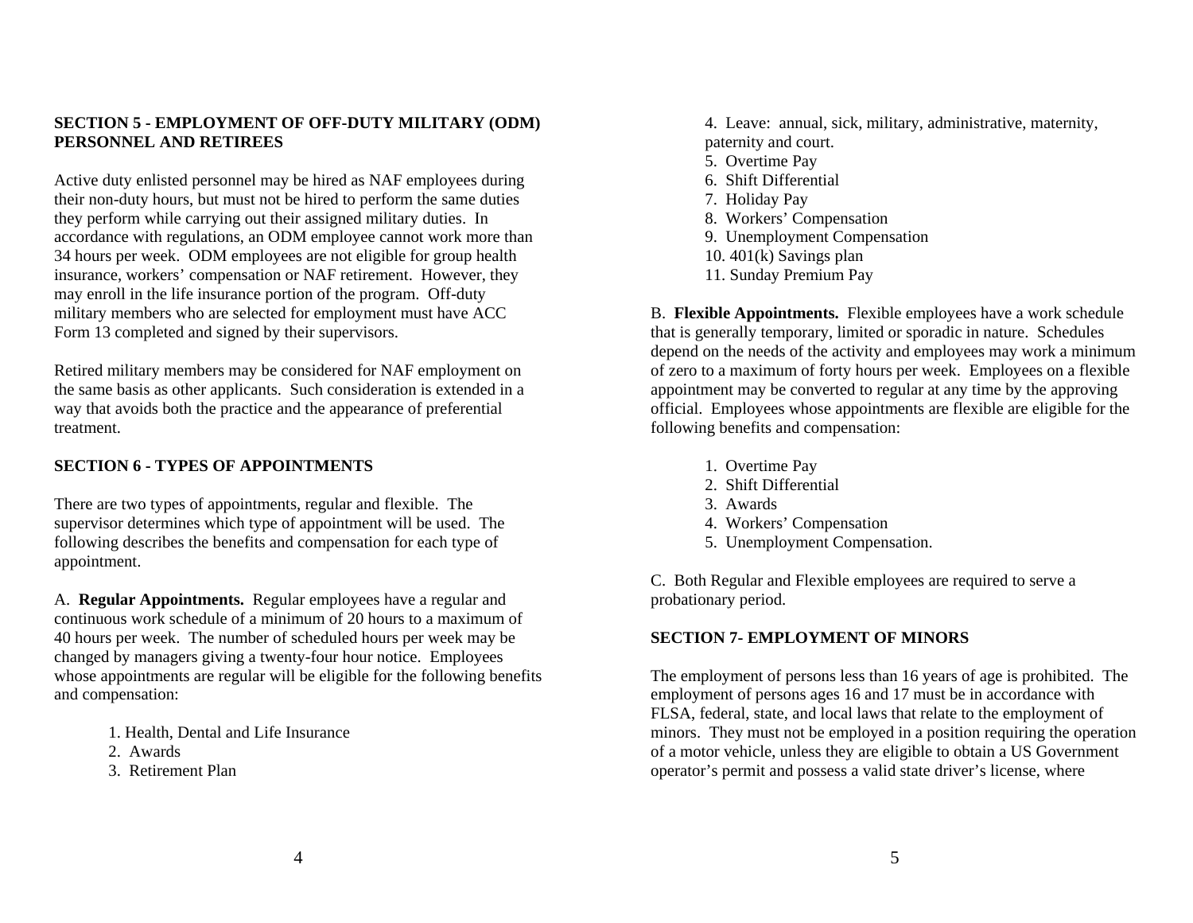#### **SECTION 5 - EMPLOYMENT OF OFF-DUTY MILITARY (ODM) PERSONNEL AND RETIREES**

Active duty enlisted personnel may be hired as NAF employees during their non-duty hours, but must not be hired to perform the same duties they perform while carrying out their assigned military duties. In accordance with regulations, an ODM employee cannot work more than 34 hours per week. ODM employees are not eligible for group health insurance, workers' compensation or NAF retirement. However, they may enroll in the life insurance portion of the program. Off-duty military members who are selected for employment must have ACC Form 13 completed and signed by their supervisors.

Retired military members may be considered for NAF employment on the same basis as other applicants. Such consideration is extended in a way that avoids both the practice and the appearance of preferential treatment.

# **SECTION 6 - TYPES OF APPOINTMENTS**

There are two types of appointments, regular and flexible. The supervisor determines which type of appointment will be used. The following describes the benefits and compensation for each type of appointment.

A. **Regular Appointments.** Regular employees have a regular and continuous work schedule of a minimum of 20 hours to a maximum of 40 hours per week. The number of scheduled hours per week may be changed by managers giving a twenty-four hour notice. Employees whose appointments are regular will be eligible for the following benefits and compensation:

- 1. Health, Dental and Life Insurance
- 2. Awards
- 3. Retirement Plan

4. Leave: annual, sick, military, administrative, maternity, paternity and court.

- 5. Overtime Pay
- 6. Shift Differential
- 7. Holiday Pay
- 8. Workers' Compensation
- 9. Unemployment Compensation
- 10. 401(k) Savings plan
- 11. Sunday Premium Pay

B. **Flexible Appointments.** Flexible employees have a work schedule that is generally temporary, limited or sporadic in nature. Schedules depend on the needs of the activity and employees may work a minimum of zero to a maximum of forty hours per week. Employees on a flexible appointment may be converted to regular at any time by the approving official. Employees whose appointments are flexible are eligible for the following benefits and compensation:

- 1. Overtime Pay
- 2. Shift Differential
- 3. Awards
- 4. Workers' Compensation
- 5. Unemployment Compensation.

C. Both Regular and Flexible employees are required to serve a probationary period.

# **SECTION 7- EMPLOYMENT OF MINORS**

The employment of persons less than 16 years of age is prohibited. The employment of persons ages 16 and 17 must be in accordance with FLSA, federal, state, and local laws that relate to the employment of minors. They must not be employed in a position requiring the operation of a motor vehicle, unless they are eligible to obtain a US Government operator's permit and possess a valid state driver's license, where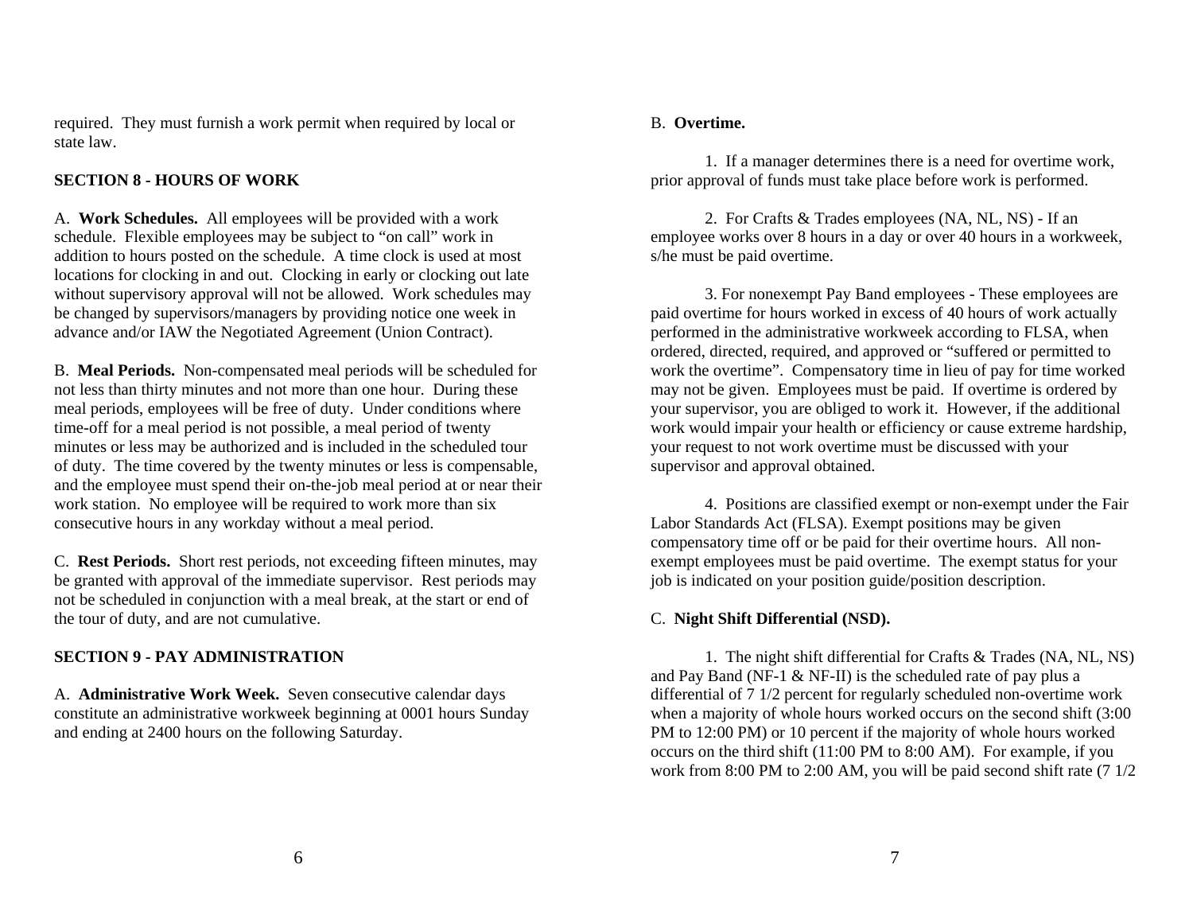required. They must furnish a work permit when required by local or state law.

## **SECTION 8 - HOURS OF WORK**

A. **Work Schedules.** All employees will be provided with a work schedule. Flexible employees may be subject to "on call" work in addition to hours posted on the schedule. A time clock is used at most locations for clocking in and out. Clocking in early or clocking out late without supervisory approval will not be allowed. Work schedules may be changed by supervisors/managers by providing notice one week in advance and/or IAW the Negotiated Agreement (Union Contract).

B. **Meal Periods.** Non-compensated meal periods will be scheduled for not less than thirty minutes and not more than one hour. During these meal periods, employees will be free of duty. Under conditions where time-off for a meal period is not possible, a meal period of twenty minutes or less may be authorized and is included in the scheduled tour of duty. The time covered by the twenty minutes or less is compensable, and the employee must spend their on-the-job meal period at or near their work station. No employee will be required to work more than six consecutive hours in any workday without a meal period.

C. **Rest Periods.** Short rest periods, not exceeding fifteen minutes, may be granted with approval of the immediate supervisor. Rest periods may not be scheduled in conjunction with a meal break, at the start or end of the tour of duty, and are not cumulative.

## **SECTION 9 - PAY ADMINISTRATION**

A. **Administrative Work Week.** Seven consecutive calendar days constitute an administrative workweek beginning at 0001 hours Sunday and ending at 2400 hours on the following Saturday.

#### B. **Overtime.**

 1. If a manager determines there is a need for overtime work, prior approval of funds must take place before work is performed.

 2. For Crafts & Trades employees (NA, NL, NS) - If an employee works over 8 hours in a day or over 40 hours in a workweek, s/he must be paid overtime.

 3. For nonexempt Pay Band employees - These employees are paid overtime for hours worked in excess of 40 hours of work actually performed in the administrative workweek according to FLSA, when ordered, directed, required, and approved or "suffered or permitted to work the overtime". Compensatory time in lieu of pay for time worked may not be given. Employees must be paid. If overtime is ordered by your supervisor, you are obliged to work it. However, if the additional work would impair your health or efficiency or cause extreme hardship, your request to not work overtime must be discussed with your supervisor and approval obtained.

 4. Positions are classified exempt or non-exempt under the Fair Labor Standards Act (FLSA). Exempt positions may be given compensatory time off or be paid for their overtime hours. All nonexempt employees must be paid overtime. The exempt status for your job is indicated on your position guide/position description.

### C. **Night Shift Differential (NSD).**

 1. The night shift differential for Crafts & Trades (NA, NL, NS) and Pay Band (NF-1 & NF-II) is the scheduled rate of pay plus a differential of 7 1/2 percent for regularly scheduled non-overtime work when a majority of whole hours worked occurs on the second shift (3:00 PM to 12:00 PM) or 10 percent if the majority of whole hours worked occurs on the third shift (11:00 PM to 8:00 AM). For example, if you work from 8:00 PM to 2:00 AM, you will be paid second shift rate (7 1/2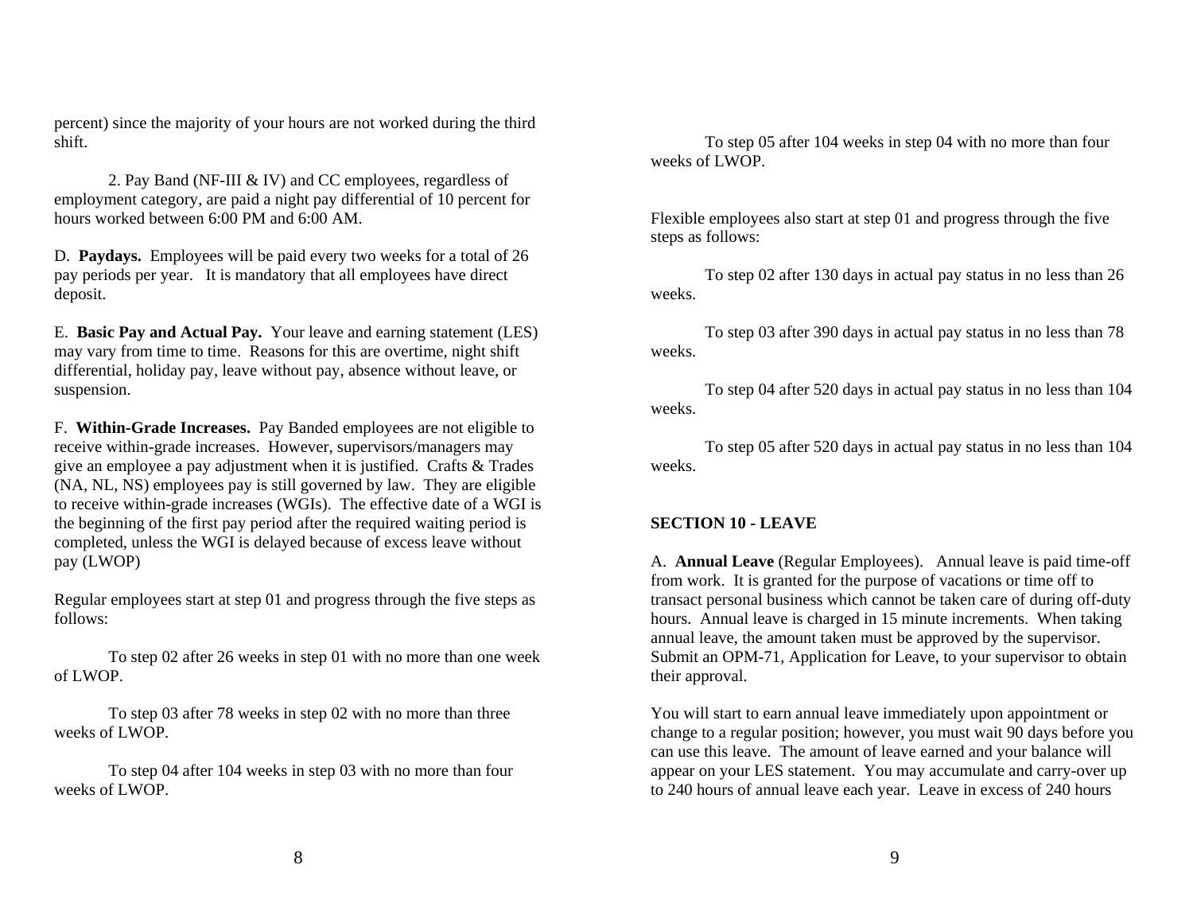percent) since the majority of your hours are not worked during the third shift.

 2. Pay Band (NF-III & IV) and CC employees, regardless of employment category, are paid a night pay differential of 10 percent for hours worked between 6:00 PM and 6:00 AM.

D. **Paydays.** Employees will be paid every two weeks for a total of 26 pay periods per year. It is mandatory that all employees have direct deposit.

E. **Basic Pay and Actual Pay.** Your leave and earning statement (LES) may vary from time to time. Reasons for this are overtime, night shift differential, holiday pay, leave without pay, absence without leave, or suspension.

F. **Within-Grade Increases.** Pay Banded employees are not eligible to receive within-grade increases. However, supervisors/managers may give an employee a pay adjustment when it is justified. Crafts & Trades (NA, NL, NS) employees pay is still governed by law. They are eligible to receive within-grade increases (WGIs). The effective date of a WGI is the beginning of the first pay period after the required waiting period is completed, unless the WGI is delayed because of excess leave without pay (LWOP)

Regular employees start at step 01 and progress through the five steps as follows:

To step 02 after 26 weeks in step 01 with no more than one week of LWOP.

 To step 03 after 78 weeks in step 02 with no more than three weeks of LWOP.

 To step 04 after 104 weeks in step 03 with no more than four weeks of LWOP.

 To step 05 after 104 weeks in step 04 with no more than four weeks of LWOP.

Flexible employees also start at step 01 and progress through the five steps as follows:

 To step 02 after 130 days in actual pay status in no less than 26 weeks.

 To step 03 after 390 days in actual pay status in no less than 78 weeks.

 To step 04 after 520 days in actual pay status in no less than 104 weeks.

 To step 05 after 520 days in actual pay status in no less than 104 weeks.

### **SECTION 10 - LEAVE**

A. **Annual Leave** (Regular Employees). Annual leave is paid time-off from work. It is granted for the purpose of vacations or time off to transact personal business which cannot be taken care of during off-duty hours. Annual leave is charged in 15 minute increments. When taking annual leave, the amount taken must be approved by the supervisor. Submit an OPM-71, Application for Leave, to your supervisor to obtain their approval.

You will start to earn annual leave immediately upon appointment or change to a regular position; however, you must wait 90 days before you can use this leave. The amount of leave earned and your balance will appear on your LES statement. You may accumulate and carry-over up to 240 hours of annual leave each year. Leave in excess of 240 hours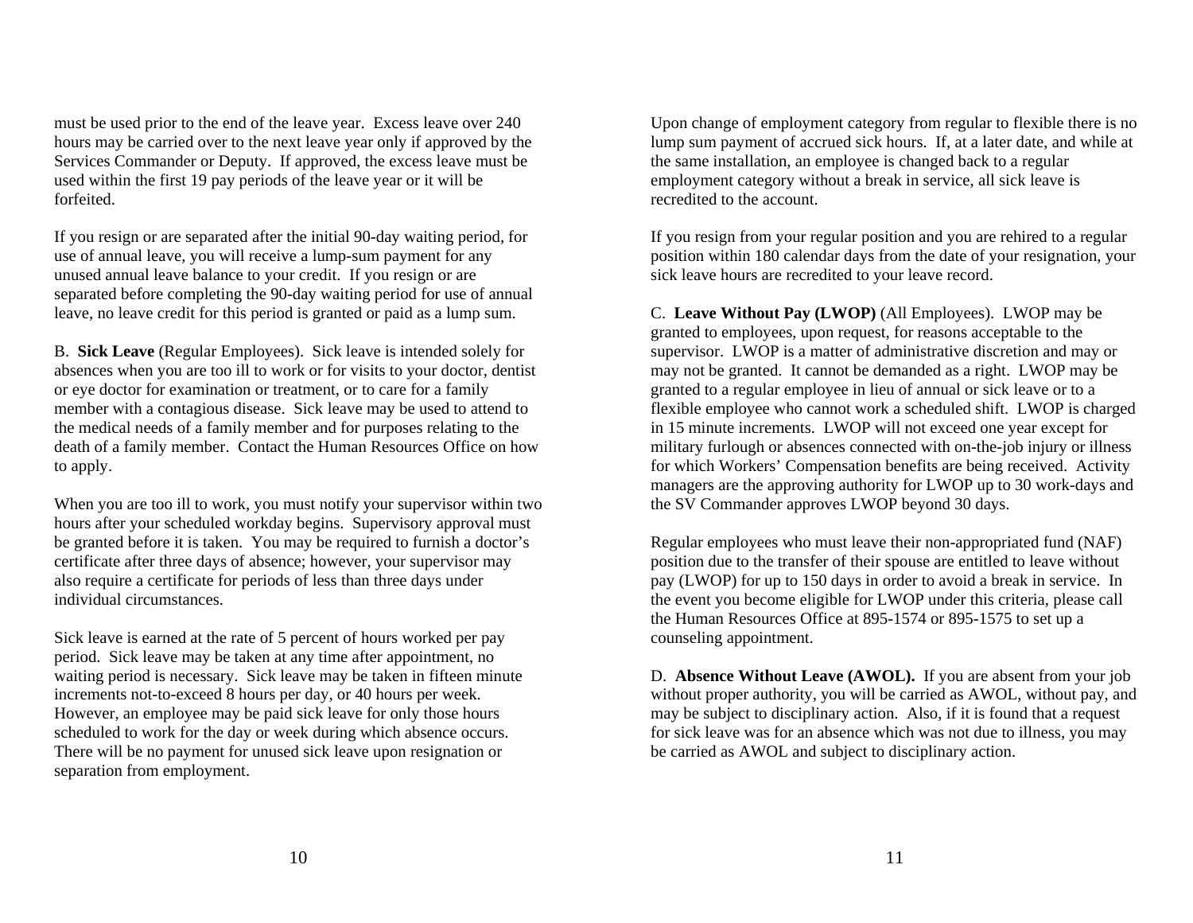must be used prior to the end of the leave year. Excess leave over 240 hours may be carried over to the next leave year only if approved by the Services Commander or Deputy. If approved, the excess leave must be used within the first 19 pay periods of the leave year or it will be forfeited.

If you resign or are separated after the initial 90-day waiting period, for use of annual leave, you will receive a lump-sum payment for any unused annual leave balance to your credit. If you resign or are separated before completing the 90-day waiting period for use of annual leave, no leave credit for this period is granted or paid as a lump sum.

B. **Sick Leave** (Regular Employees). Sick leave is intended solely for absences when you are too ill to work or for visits to your doctor, dentist or eye doctor for examination or treatment, or to care for a family member with a contagious disease. Sick leave may be used to attend to the medical needs of a family member and for purposes relating to the death of a family member. Contact the Human Resources Office on how to apply.

When you are too ill to work, you must notify your supervisor within two hours after your scheduled workday begins. Supervisory approval must be granted before it is taken. You may be required to furnish a doctor's certificate after three days of absence; however, your supervisor may also require a certificate for periods of less than three days under individual circumstances.

Sick leave is earned at the rate of 5 percent of hours worked per pay period. Sick leave may be taken at any time after appointment, no waiting period is necessary. Sick leave may be taken in fifteen minute increments not-to-exceed 8 hours per day, or 40 hours per week. However, an employee may be paid sick leave for only those hours scheduled to work for the day or week during which absence occurs. There will be no payment for unused sick leave upon resignation or separation from employment.

Upon change of employment category from regular to flexible there is no lump sum payment of accrued sick hours. If, at a later date, and while at the same installation, an employee is changed back to a regular employment category without a break in service, all sick leave is recredited to the account.

If you resign from your regular position and you are rehired to a regular position within 180 calendar days from the date of your resignation, your sick leave hours are recredited to your leave record.

C. **Leave Without Pay (LWOP)** (All Employees). LWOP may be granted to employees, upon request, for reasons acceptable to the supervisor. LWOP is a matter of administrative discretion and may or may not be granted. It cannot be demanded as a right. LWOP may be granted to a regular employee in lieu of annual or sick leave or to a flexible employee who cannot work a scheduled shift. LWOP is charged in 15 minute increments. LWOP will not exceed one year except for military furlough or absences connected with on-the-job injury or illness for which Workers' Compensation benefits are being received. Activity managers are the approving authority for LWOP up to 30 work-days and the SV Commander approves LWOP beyond 30 days.

Regular employees who must leave their non-appropriated fund (NAF) position due to the transfer of their spouse are entitled to leave without pay (LWOP) for up to 150 days in order to avoid a break in service. In the event you become eligible for LWOP under this criteria, please call the Human Resources Office at 895-1574 or 895-1575 to set up a counseling appointment.

D. **Absence Without Leave (AWOL).** If you are absent from your job without proper authority, you will be carried as AWOL, without pay, and may be subject to disciplinary action. Also, if it is found that a request for sick leave was for an absence which was not due to illness, you may be carried as AWOL and subject to disciplinary action.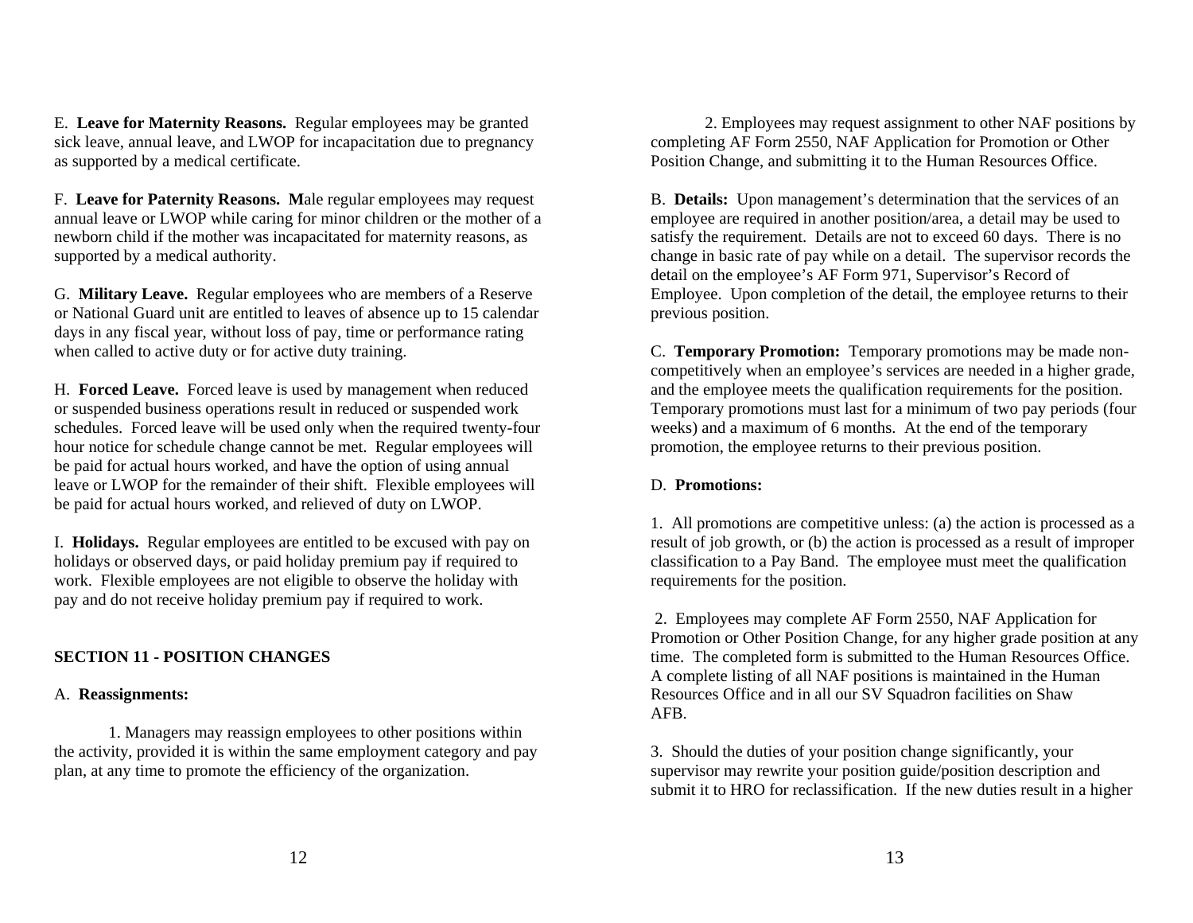E. **Leave for Maternity Reasons.** Regular employees may be granted sick leave, annual leave, and LWOP for incapacitation due to pregnancy as supported by a medical certificate.

F. **Leave for Paternity Reasons. M**ale regular employees may request annual leave or LWOP while caring for minor children or the mother of a newborn child if the mother was incapacitated for maternity reasons, as supported by a medical authority.

G. **Military Leave.** Regular employees who are members of a Reserve or National Guard unit are entitled to leaves of absence up to 15 calendar days in any fiscal year, without loss of pay, time or performance rating when called to active duty or for active duty training.

H. **Forced Leave.** Forced leave is used by management when reduced or suspended business operations result in reduced or suspended work schedules. Forced leave will be used only when the required twenty-four hour notice for schedule change cannot be met. Regular employees will be paid for actual hours worked, and have the option of using annual leave or LWOP for the remainder of their shift. Flexible employees will be paid for actual hours worked, and relieved of duty on LWOP.

I. **Holidays.** Regular employees are entitled to be excused with pay on holidays or observed days, or paid holiday premium pay if required to work. Flexible employees are not eligible to observe the holiday with pay and do not receive holiday premium pay if required to work.

## **SECTION 11 - POSITION CHANGES**

### A. **Reassignments:**

 1. Managers may reassign employees to other positions within the activity, provided it is within the same employment category and pay plan, at any time to promote the efficiency of the organization.

 2. Employees may request assignment to other NAF positions by completing AF Form 2550, NAF Application for Promotion or Other Position Change, and submitting it to the Human Resources Office.

B. **Details:** Upon management's determination that the services of an employee are required in another position/area, a detail may be used to satisfy the requirement. Details are not to exceed 60 days. There is no change in basic rate of pay while on a detail. The supervisor records the detail on the employee's AF Form 971, Supervisor's Record of Employee. Upon completion of the detail, the employee returns to their previous position.

C. **Temporary Promotion:** Temporary promotions may be made noncompetitively when an employee's services are needed in a higher grade, and the employee meets the qualification requirements for the position. Temporary promotions must last for a minimum of two pay periods (four weeks) and a maximum of 6 months. At the end of the temporary promotion, the employee returns to their previous position.

### D. **Promotions:**

1. All promotions are competitive unless: (a) the action is processed as a result of job growth, or (b) the action is processed as a result of improper classification to a Pay Band. The employee must meet the qualification requirements for the position.

 2. Employees may complete AF Form 2550, NAF Application for Promotion or Other Position Change, for any higher grade position at any time. The completed form is submitted to the Human Resources Office. A complete listing of all NAF positions is maintained in the Human Resources Office and in all our SV Squadron facilities on Shaw AFB.

3. Should the duties of your position change significantly, your supervisor may rewrite your position guide/position description and submit it to HRO for reclassification. If the new duties result in a higher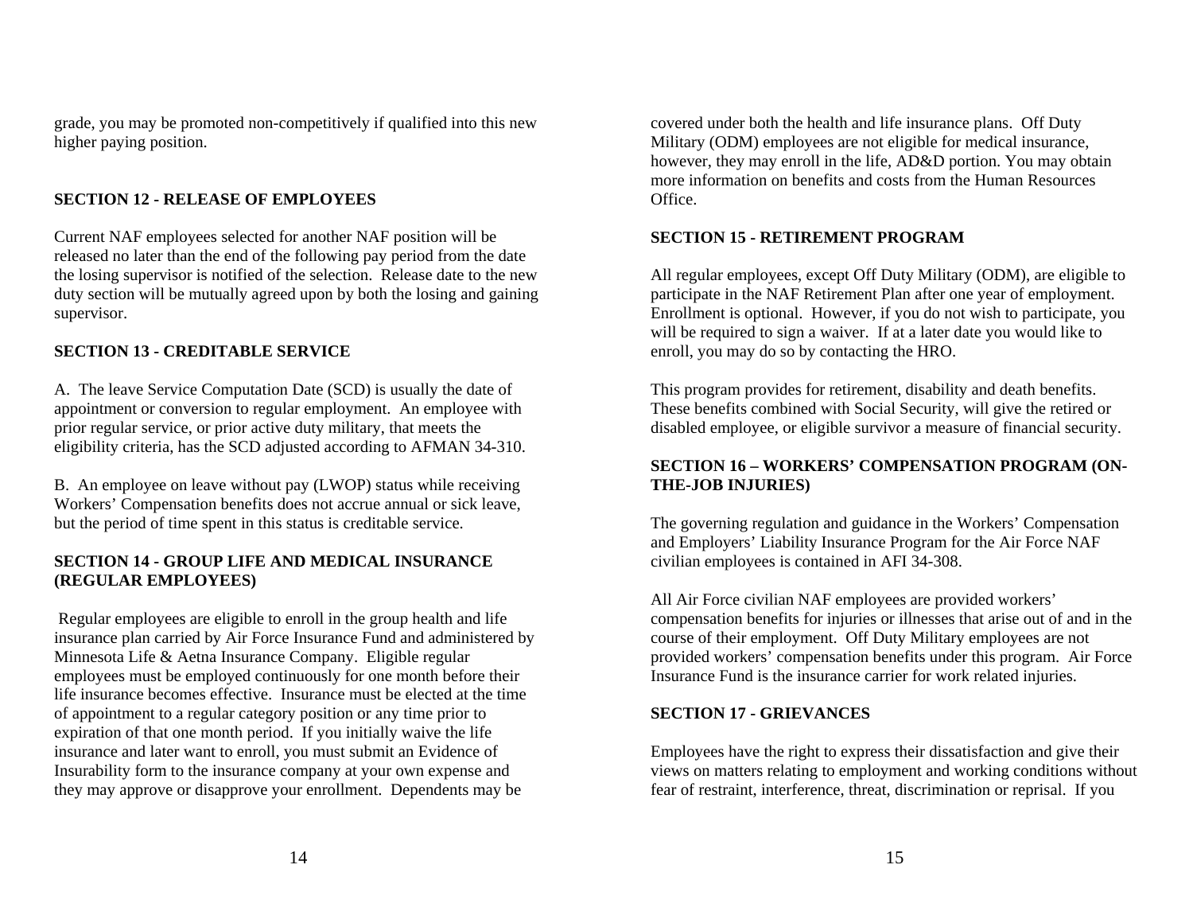grade, you may be promoted non-competitively if qualified into this new higher paying position.

## **SECTION 12 - RELEASE OF EMPLOYEES**

Current NAF employees selected for another NAF position will be released no later than the end of the following pay period from the date the losing supervisor is notified of the selection. Release date to the new duty section will be mutually agreed upon by both the losing and gaining supervisor.

## **SECTION 13 - CREDITABLE SERVICE**

A. The leave Service Computation Date (SCD) is usually the date of appointment or conversion to regular employment. An employee with prior regular service, or prior active duty military, that meets the eligibility criteria, has the SCD adjusted according to AFMAN 34-310.

B. An employee on leave without pay (LWOP) status while receiving Workers' Compensation benefits does not accrue annual or sick leave, but the period of time spent in this status is creditable service.

### **SECTION 14 - GROUP LIFE AND MEDICAL INSURANCE (REGULAR EMPLOYEES)**

 Regular employees are eligible to enroll in the group health and life insurance plan carried by Air Force Insurance Fund and administered by Minnesota Life & Aetna Insurance Company. Eligible regular employees must be employed continuously for one month before their life insurance becomes effective. Insurance must be elected at the time of appointment to a regular category position or any time prior to expiration of that one month period. If you initially waive the life insurance and later want to enroll, you must submit an Evidence of Insurability form to the insurance company at your own expense and they may approve or disapprove your enrollment. Dependents may be

covered under both the health and life insurance plans. Off Duty Military (ODM) employees are not eligible for medical insurance, however, they may enroll in the life, AD&D portion. You may obtain more information on benefits and costs from the Human Resources Office.

## **SECTION 15 - RETIREMENT PROGRAM**

All regular employees, except Off Duty Military (ODM), are eligible to participate in the NAF Retirement Plan after one year of employment. Enrollment is optional. However, if you do not wish to participate, you will be required to sign a waiver. If at a later date you would like to enroll, you may do so by contacting the HRO.

This program provides for retirement, disability and death benefits. These benefits combined with Social Security, will give the retired or disabled employee, or eligible survivor a measure of financial security.

## **SECTION 16 – WORKERS' COMPENSATION PROGRAM (ON-THE-JOB INJURIES)**

The governing regulation and guidance in the Workers' Compensation and Employers' Liability Insurance Program for the Air Force NAF civilian employees is contained in AFI 34-308.

All Air Force civilian NAF employees are provided workers' compensation benefits for injuries or illnesses that arise out of and in the course of their employment. Off Duty Military employees are not provided workers' compensation benefits under this program. Air Force Insurance Fund is the insurance carrier for work related injuries.

## **SECTION 17 - GRIEVANCES**

Employees have the right to express their dissatisfaction and give their views on matters relating to employment and working conditions without fear of restraint, interference, threat, discrimination or reprisal. If you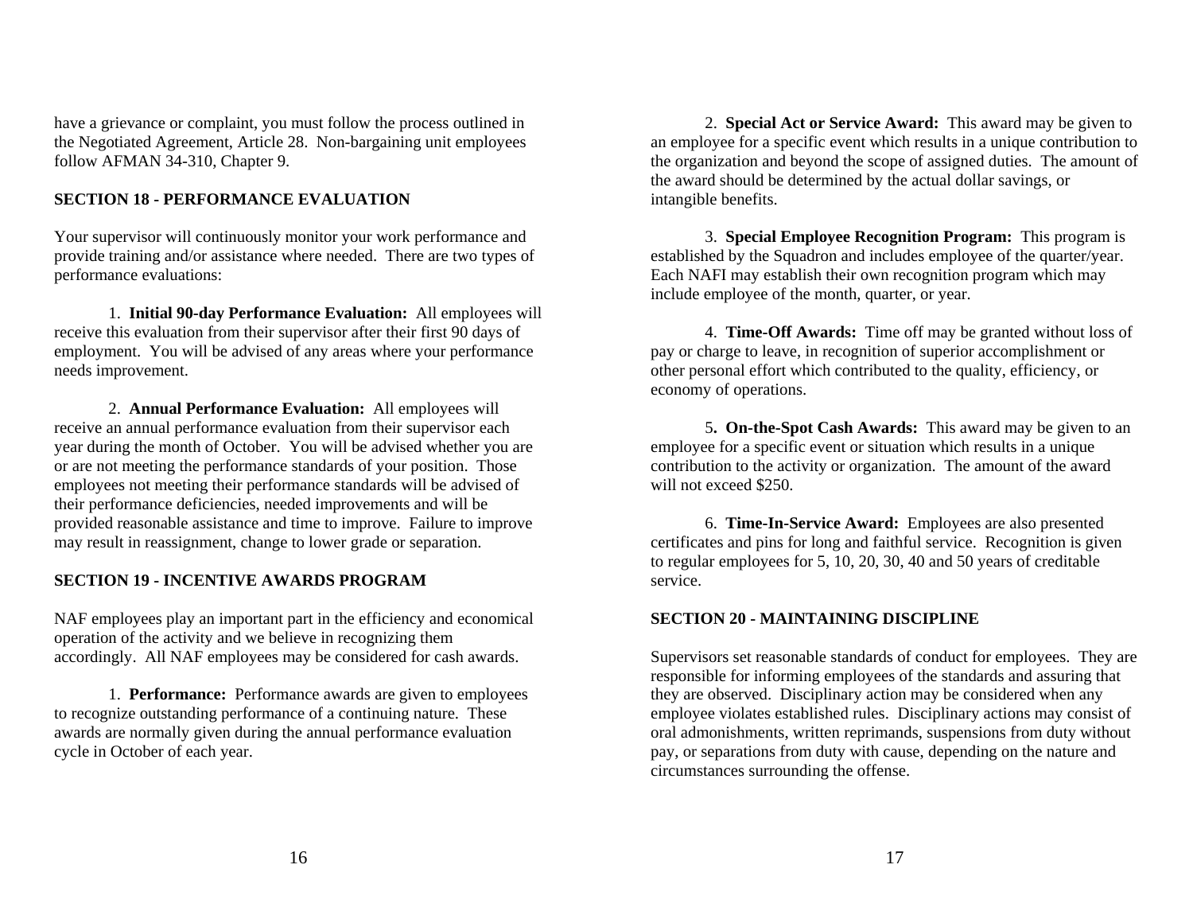have a grievance or complaint, you must follow the process outlined in the Negotiated Agreement, Article 28. Non-bargaining unit employees follow AFMAN 34-310, Chapter 9.

## **SECTION 18 - PERFORMANCE EVALUATION**

Your supervisor will continuously monitor your work performance and provide training and/or assistance where needed. There are two types of performance evaluations:

 1. **Initial 90-day Performance Evaluation:** All employees will receive this evaluation from their supervisor after their first 90 days of employment. You will be advised of any areas where your performance needs improvement.

 2. **Annual Performance Evaluation:** All employees will receive an annual performance evaluation from their supervisor each year during the month of October. You will be advised whether you are or are not meeting the performance standards of your position. Those employees not meeting their performance standards will be advised of their performance deficiencies, needed improvements and will be provided reasonable assistance and time to improve. Failure to improve may result in reassignment, change to lower grade or separation.

## **SECTION 19 - INCENTIVE AWARDS PROGRAM**

NAF employees play an important part in the efficiency and economical operation of the activity and we believe in recognizing them accordingly. All NAF employees may be considered for cash awards.

1. **Performance:** Performance awards are given to employees to recognize outstanding performance of a continuing nature. These awards are normally given during the annual performance evaluation cycle in October of each year.

2. **Special Act or Service Award:** This award may be given to an employee for a specific event which results in a unique contribution to the organization and beyond the scope of assigned duties. The amount of the award should be determined by the actual dollar savings, or intangible benefits.

3. **Special Employee Recognition Program:** This program is established by the Squadron and includes employee of the quarter/year. Each NAFI may establish their own recognition program which may include employee of the month, quarter, or year.

4. **Time-Off Awards:** Time off may be granted without loss of pay or charge to leave, in recognition of superior accomplishment or other personal effort which contributed to the quality, efficiency, or economy of operations.

5**. On-the-Spot Cash Awards:** This award may be given to an employee for a specific event or situation which results in a unique contribution to the activity or organization. The amount of the award will not exceed \$250.

6. **Time-In-Service Award:** Employees are also presented certificates and pins for long and faithful service. Recognition is given to regular employees for 5, 10, 20, 30, 40 and 50 years of creditable service.

### **SECTION 20 - MAINTAINING DISCIPLINE**

Supervisors set reasonable standards of conduct for employees. They are responsible for informing employees of the standards and assuring that they are observed. Disciplinary action may be considered when any employee violates established rules. Disciplinary actions may consist of oral admonishments, written reprimands, suspensions from duty without pay, or separations from duty with cause, depending on the nature and circumstances surrounding the offense.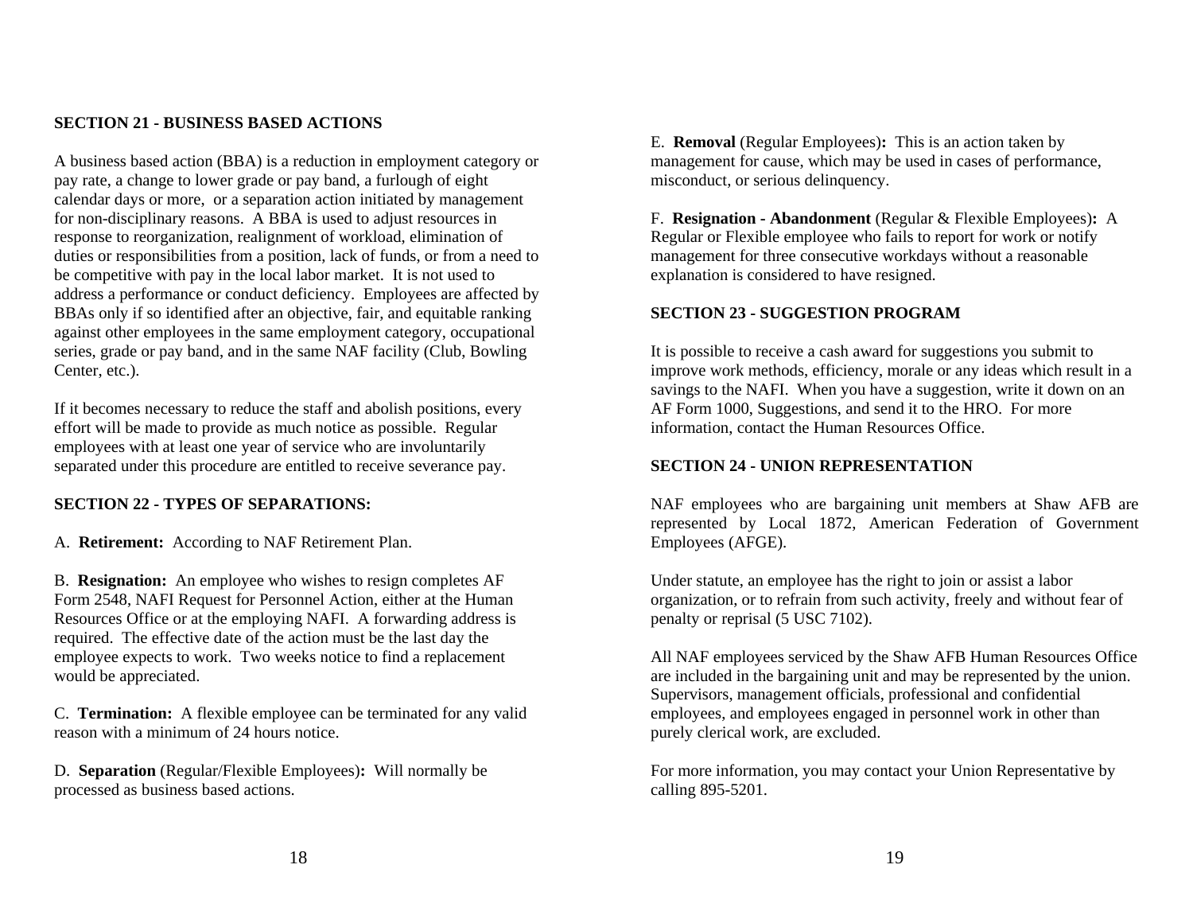#### **SECTION 21 - BUSINESS BASED ACTIONS**

A business based action (BBA) is a reduction in employment category or pay rate, a change to lower grade or pay band, a furlough of eight calendar days or more, or a separation action initiated by management for non-disciplinary reasons. A BBA is used to adjust resources in response to reorganization, realignment of workload, elimination of duties or responsibilities from a position, lack of funds, or from a need to be competitive with pay in the local labor market. It is not used to address a performance or conduct deficiency. Employees are affected by BBAs only if so identified after an objective, fair, and equitable ranking against other employees in the same employment category, occupational series, grade or pay band, and in the same NAF facility (Club, Bowling Center, etc.).

If it becomes necessary to reduce the staff and abolish positions, every effort will be made to provide as much notice as possible. Regular employees with at least one year of service who are involuntarily separated under this procedure are entitled to receive severance pay.

### **SECTION 22 - TYPES OF SEPARATIONS:**

A. **Retirement:** According to NAF Retirement Plan.

B. **Resignation:** An employee who wishes to resign completes AF Form 2548, NAFI Request for Personnel Action, either at the Human Resources Office or at the employing NAFI. A forwarding address is required. The effective date of the action must be the last day the employee expects to work. Two weeks notice to find a replacement would be appreciated.

C. **Termination:** A flexible employee can be terminated for any valid reason with a minimum of 24 hours notice.

D. **Separation** (Regular/Flexible Employees)**:** Will normally be processed as business based actions.

E. **Removal** (Regular Employees)**:** This is an action taken by management for cause, which may be used in cases of performance, misconduct, or serious delinquency.

F. **Resignation - Abandonment** (Regular & Flexible Employees)**:** A Regular or Flexible employee who fails to report for work or notify management for three consecutive workdays without a reasonable explanation is considered to have resigned.

#### **SECTION 23 - SUGGESTION PROGRAM**

It is possible to receive a cash award for suggestions you submit to improve work methods, efficiency, morale or any ideas which result in a savings to the NAFI. When you have a suggestion, write it down on an AF Form 1000, Suggestions, and send it to the HRO. For more information, contact the Human Resources Office.

#### **SECTION 24 - UNION REPRESENTATION**

NAF employees who are bargaining unit members at Shaw AFB are represented by Local 1872, American Federation of Government Employees (AFGE).

Under statute, an employee has the right to join or assist a labor organization, or to refrain from such activity, freely and without fear of penalty or reprisal (5 USC 7102).

All NAF employees serviced by the Shaw AFB Human Resources Office are included in the bargaining unit and may be represented by the union. Supervisors, management officials, professional and confidential employees, and employees engaged in personnel work in other than purely clerical work, are excluded.

For more information, you may contact your Union Representative by calling 895-5201.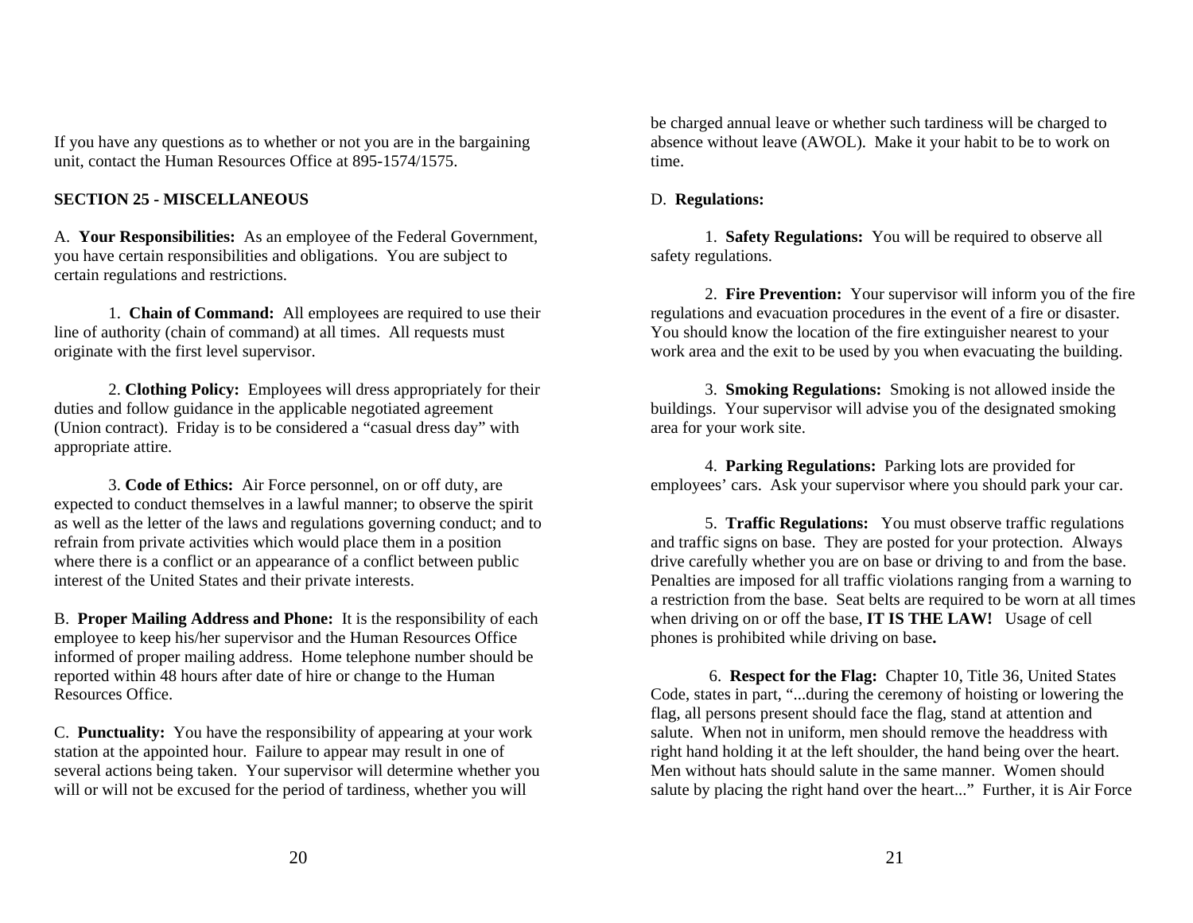If you have any questions as to whether or not you are in the bargaining unit, contact the Human Resources Office at 895-1574/1575.

## **SECTION 25 - MISCELLANEOUS**

A. **Your Responsibilities:** As an employee of the Federal Government, you have certain responsibilities and obligations. You are subject to certain regulations and restrictions.

 1. **Chain of Command:** All employees are required to use their line of authority (chain of command) at all times. All requests must originate with the first level supervisor.

 2. **Clothing Policy:** Employees will dress appropriately for their duties and follow guidance in the applicable negotiated agreement (Union contract). Friday is to be considered a "casual dress day" with appropriate attire.

 3. **Code of Ethics:** Air Force personnel, on or off duty, are expected to conduct themselves in a lawful manner; to observe the spirit as well as the letter of the laws and regulations governing conduct; and to refrain from private activities which would place them in a position where there is a conflict or an appearance of a conflict between public interest of the United States and their private interests.

B. **Proper Mailing Address and Phone:** It is the responsibility of each employee to keep his/her supervisor and the Human Resources Office informed of proper mailing address. Home telephone number should be reported within 48 hours after date of hire or change to the Human Resources Office.

C. **Punctuality:** You have the responsibility of appearing at your work station at the appointed hour. Failure to appear may result in one of several actions being taken. Your supervisor will determine whether you will or will not be excused for the period of tardiness, whether you will

be charged annual leave or whether such tardiness will be charged to absence without leave (AWOL). Make it your habit to be to work on time.

### D. **Regulations:**

 1. **Safety Regulations:** You will be required to observe all safety regulations.

 2. **Fire Prevention:** Your supervisor will inform you of the fire regulations and evacuation procedures in the event of a fire or disaster. You should know the location of the fire extinguisher nearest to your work area and the exit to be used by you when evacuating the building.

 3. **Smoking Regulations:** Smoking is not allowed inside the buildings. Your supervisor will advise you of the designated smoking area for your work site.

 4. **Parking Regulations:** Parking lots are provided for employees' cars. Ask your supervisor where you should park your car.

 5. **Traffic Regulations:** You must observe traffic regulations and traffic signs on base. They are posted for your protection. Always drive carefully whether you are on base or driving to and from the base. Penalties are imposed for all traffic violations ranging from a warning to a restriction from the base. Seat belts are required to be worn at all times when driving on or off the base, **IT IS THE LAW!** Usage of cell phones is prohibited while driving on base**.**

 6. **Respect for the Flag:** Chapter 10, Title 36, United States Code, states in part, "...during the ceremony of hoisting or lowering the flag, all persons present should face the flag, stand at attention and salute. When not in uniform, men should remove the headdress with right hand holding it at the left shoulder, the hand being over the heart. Men without hats should salute in the same manner. Women should salute by placing the right hand over the heart..." Further, it is Air Force